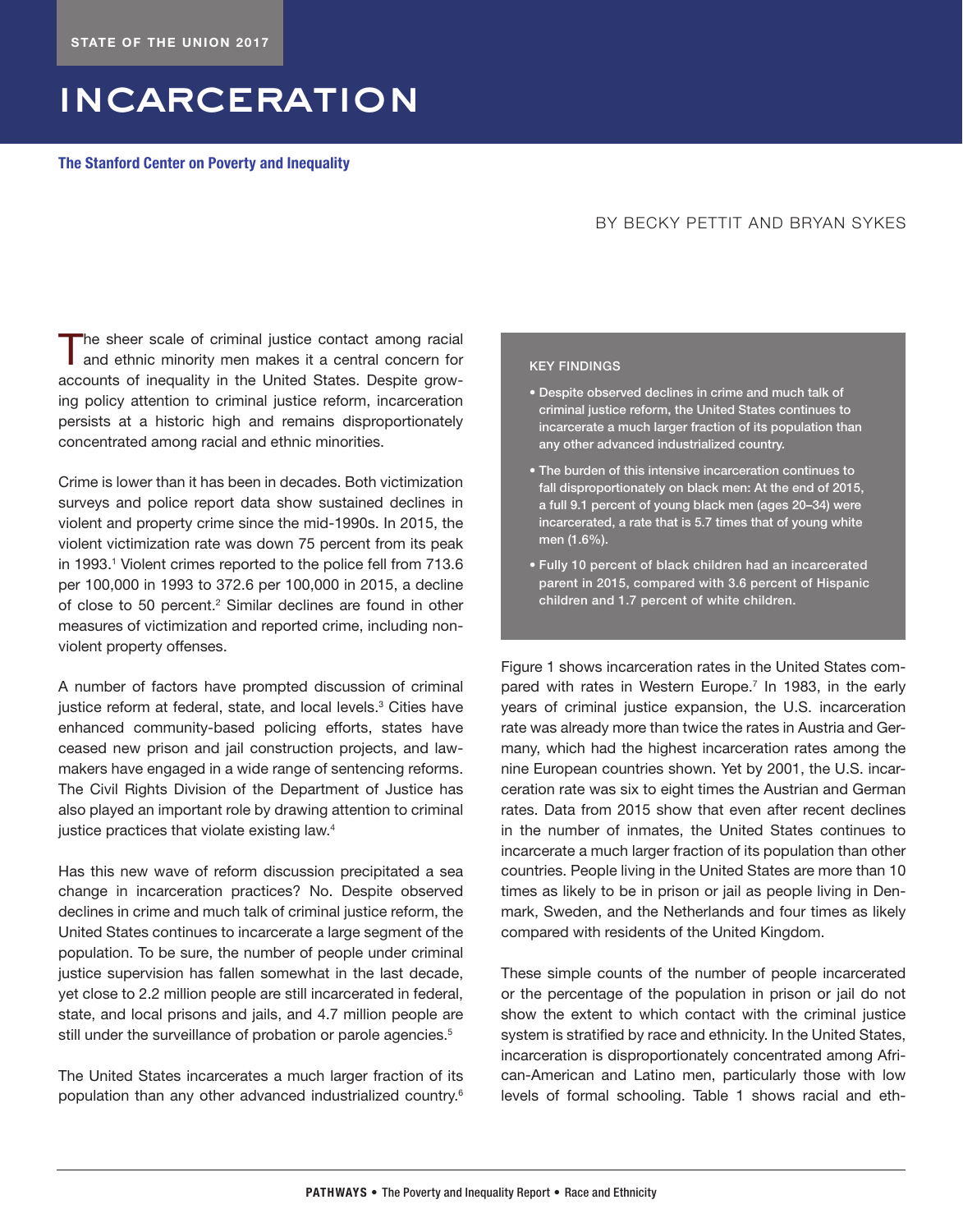# incarceration

**The Stanford Center on Poverty and Inequality**

## BY BECKY PETTIT AND BRYAN SYKES

The sheer scale of criminal justice contact among racial and ethnic minority men makes it a central concern for accounts of inequality in the United States. Despite growing policy attention to criminal justice reform, incarceration persists at a historic high and remains disproportionately concentrated among racial and ethnic minorities.

Crime is lower than it has been in decades. Both victimization surveys and police report data show sustained declines in violent and property crime since the mid-1990s. In 2015, the violent victimization rate was down 75 percent from its peak in 1993.<sup>1</sup> Violent crimes reported to the police fell from 713.6 per 100,000 in 1993 to 372.6 per 100,000 in 2015, a decline of close to 50 percent.<sup>2</sup> Similar declines are found in other measures of victimization and reported crime, including nonviolent property offenses.

A number of factors have prompted discussion of criminal justice reform at federal, state, and local levels.<sup>3</sup> Cities have enhanced community-based policing efforts, states have ceased new prison and jail construction projects, and lawmakers have engaged in a wide range of sentencing reforms. The Civil Rights Division of the Department of Justice has also played an important role by drawing attention to criminal justice practices that violate existing law.<sup>4</sup>

Has this new wave of reform discussion precipitated a sea change in incarceration practices? No. Despite observed declines in crime and much talk of criminal justice reform, the United States continues to incarcerate a large segment of the population. To be sure, the number of people under criminal justice supervision has fallen somewhat in the last decade, yet close to 2.2 million people are still incarcerated in federal, state, and local prisons and jails, and 4.7 million people are still under the surveillance of probation or parole agencies.<sup>5</sup>

The United States incarcerates a much larger fraction of its population than any other advanced industrialized country.6

### KEY FINDINGS

- Despite observed declines in crime and much talk of criminal justice reform, the United States continues to incarcerate a much larger fraction of its population than any other advanced industrialized country.
- The burden of this intensive incarceration continues to fall disproportionately on black men: At the end of 2015, a full 9.1 percent of young black men (ages 20–34) were incarcerated, a rate that is 5.7 times that of young white men (1.6%).
- Fully 10 percent of black children had an incarcerated parent in 2015, compared with 3.6 percent of Hispanic children and 1.7 percent of white children.

Figure 1 shows incarceration rates in the United States compared with rates in Western Europe.<sup>7</sup> In 1983, in the early years of criminal justice expansion, the U.S. incarceration rate was already more than twice the rates in Austria and Germany, which had the highest incarceration rates among the nine European countries shown. Yet by 2001, the U.S. incarceration rate was six to eight times the Austrian and German rates. Data from 2015 show that even after recent declines in the number of inmates, the United States continues to incarcerate a much larger fraction of its population than other countries. People living in the United States are more than 10 times as likely to be in prison or jail as people living in Denmark, Sweden, and the Netherlands and four times as likely compared with residents of the United Kingdom.

These simple counts of the number of people incarcerated or the percentage of the population in prison or jail do not show the extent to which contact with the criminal justice system is stratified by race and ethnicity. In the United States, incarceration is disproportionately concentrated among African-American and Latino men, particularly those with low levels of formal schooling. Table 1 shows racial and eth-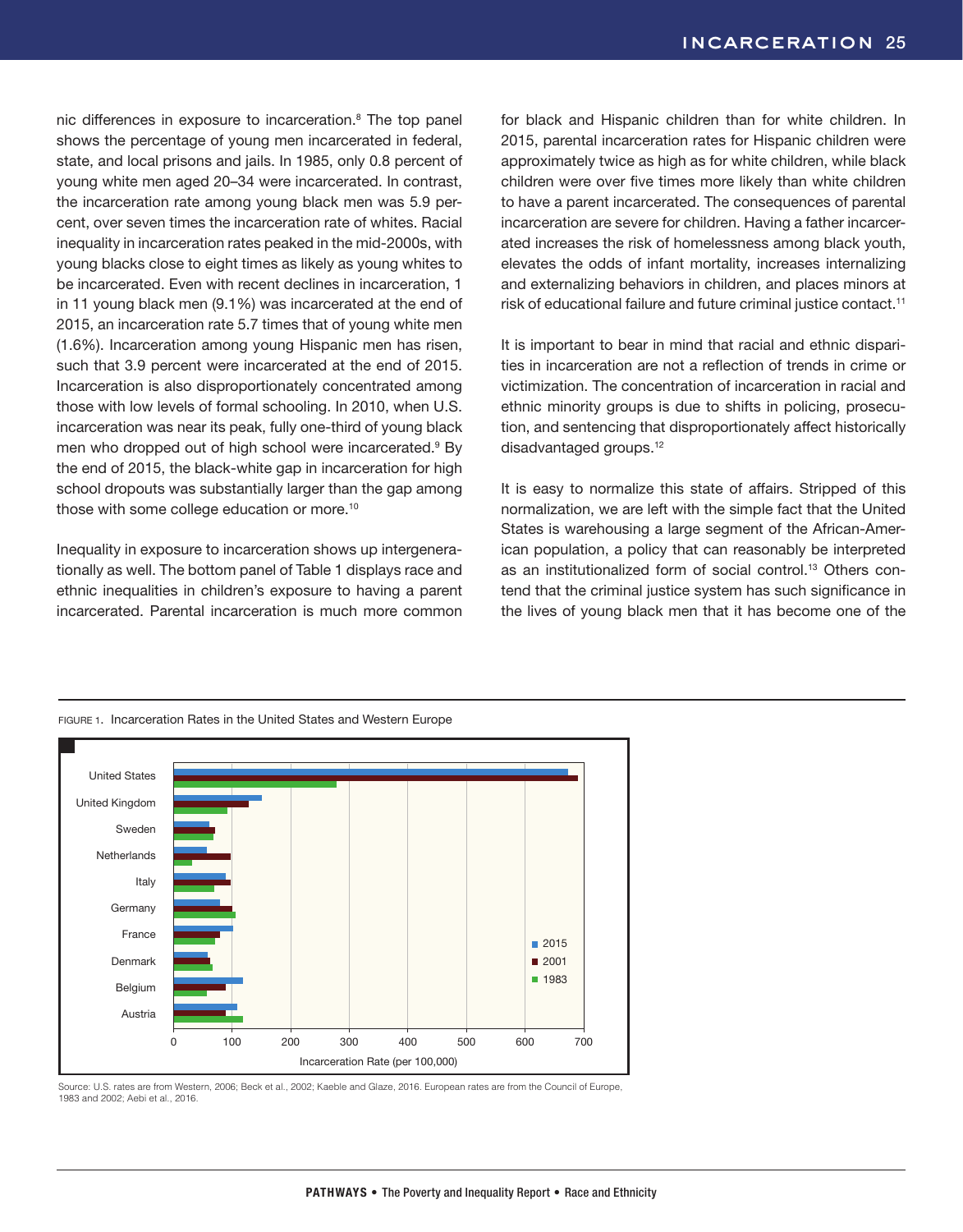nic differences in exposure to incarceration.8 The top panel shows the percentage of young men incarcerated in federal, state, and local prisons and jails. In 1985, only 0.8 percent of young white men aged 20–34 were incarcerated. In contrast, the incarceration rate among young black men was 5.9 percent, over seven times the incarceration rate of whites. Racial inequality in incarceration rates peaked in the mid-2000s, with young blacks close to eight times as likely as young whites to be incarcerated. Even with recent declines in incarceration, 1 in 11 young black men (9.1%) was incarcerated at the end of 2015, an incarceration rate 5.7 times that of young white men (1.6%). Incarceration among young Hispanic men has risen, such that 3.9 percent were incarcerated at the end of 2015. Incarceration is also disproportionately concentrated among those with low levels of formal schooling. In 2010, when U.S. incarceration was near its peak, fully one-third of young black men who dropped out of high school were incarcerated.<sup>9</sup> By the end of 2015, the black-white gap in incarceration for high school dropouts was substantially larger than the gap among those with some college education or more.10

Inequality in exposure to incarceration shows up intergenerationally as well. The bottom panel of Table 1 displays race and ethnic inequalities in children's exposure to having a parent incarcerated. Parental incarceration is much more common

for black and Hispanic children than for white children. In 2015, parental incarceration rates for Hispanic children were approximately twice as high as for white children, while black children were over five times more likely than white children to have a parent incarcerated. The consequences of parental incarceration are severe for children. Having a father incarcerated increases the risk of homelessness among black youth, elevates the odds of infant mortality, increases internalizing and externalizing behaviors in children, and places minors at risk of educational failure and future criminal justice contact.<sup>11</sup>

It is important to bear in mind that racial and ethnic disparities in incarceration are not a reflection of trends in crime or victimization. The concentration of incarceration in racial and ethnic minority groups is due to shifts in policing, prosecution, and sentencing that disproportionately affect historically disadvantaged groups.12

It is easy to normalize this state of affairs. Stripped of this normalization, we are left with the simple fact that the United States is warehousing a large segment of the African-American population, a policy that can reasonably be interpreted as an institutionalized form of social control.13 Others contend that the criminal justice system has such significance in the lives of young black men that it has become one of the



Source: U.S. rates are from Western, 2006; Beck et al., 2002; Kaeble and Glaze, 2016. European rates are from the Council of Europe, 1983 and 2002; Aebi et al., 2016.